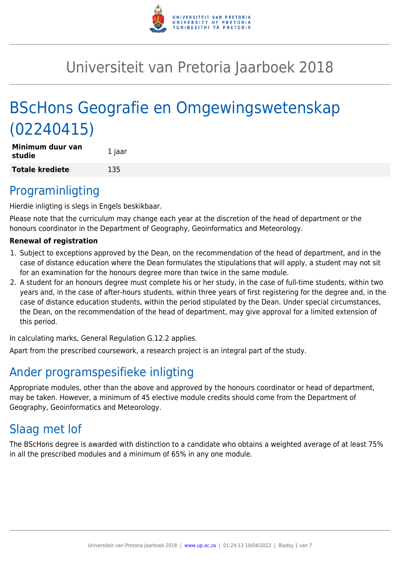

# Universiteit van Pretoria Jaarboek 2018

# BScHons Geografie en Omgewingswetenskap (02240415)

| Minimum duur van<br>studie | 1 jaar |
|----------------------------|--------|
| <b>Totale krediete</b>     | 135    |

# Programinligting

Hierdie inligting is slegs in Engels beskikbaar.

Please note that the curriculum may change each year at the discretion of the head of department or the honours coordinator in the Department of Geography, Geoinformatics and Meteorology.

#### **Renewal of registration**

- 1. Subject to exceptions approved by the Dean, on the recommendation of the head of department, and in the case of distance education where the Dean formulates the stipulations that will apply, a student may not sit for an examination for the honours degree more than twice in the same module.
- 2. A student for an honours degree must complete his or her study, in the case of full-time students, within two years and, in the case of after-hours students, within three years of first registering for the degree and, in the case of distance education students, within the period stipulated by the Dean. Under special circumstances, the Dean, on the recommendation of the head of department, may give approval for a limited extension of this period.

In calculating marks, General Regulation G.12.2 applies.

Apart from the prescribed coursework, a research project is an integral part of the study.

# Ander programspesifieke inligting

Appropriate modules, other than the above and approved by the honours coordinator or head of department, may be taken. However, a minimum of 45 elective module credits should come from the Department of Geography, Geoinformatics and Meteorology.

# Slaag met lof

The BScHons degree is awarded with distinction to a candidate who obtains a weighted average of at least 75% in all the prescribed modules and a minimum of 65% in any one module.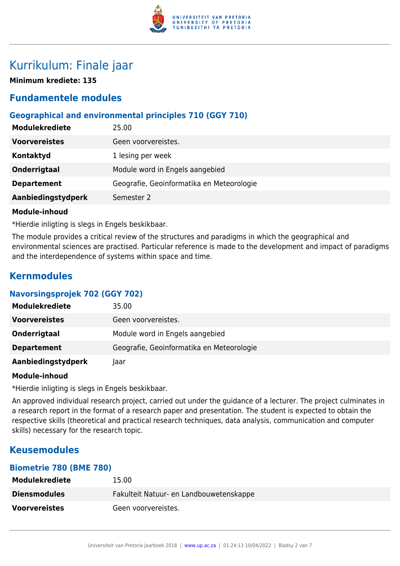

# Kurrikulum: Finale jaar

**Minimum krediete: 135**

# **Fundamentele modules**

# **Geographical and environmental principles 710 (GGY 710)**

| <b>Modulekrediete</b> | 25.00                                     |
|-----------------------|-------------------------------------------|
| <b>Voorvereistes</b>  | Geen voorvereistes.                       |
| Kontaktyd             | 1 lesing per week                         |
| Onderrigtaal          | Module word in Engels aangebied           |
| <b>Departement</b>    | Geografie, Geoinformatika en Meteorologie |
| Aanbiedingstydperk    | Semester 2                                |
|                       |                                           |

#### **Module-inhoud**

\*Hierdie inligting is slegs in Engels beskikbaar.

The module provides a critical review of the structures and paradigms in which the geographical and environmental sciences are practised. Particular reference is made to the development and impact of paradigms and the interdependence of systems within space and time.

# **Kernmodules**

#### **Navorsingsprojek 702 (GGY 702)**

| <b>Modulekrediete</b> | 35.00                                     |
|-----------------------|-------------------------------------------|
| <b>Voorvereistes</b>  | Geen voorvereistes.                       |
| Onderrigtaal          | Module word in Engels aangebied           |
| <b>Departement</b>    | Geografie, Geoinformatika en Meteorologie |
| Aanbiedingstydperk    | laar                                      |

#### **Module-inhoud**

\*Hierdie inligting is slegs in Engels beskikbaar.

An approved individual research project, carried out under the guidance of a lecturer. The project culminates in a research report in the format of a research paper and presentation. The student is expected to obtain the respective skills (theoretical and practical research techniques, data analysis, communication and computer skills) necessary for the research topic.

# **Keusemodules**

### **Biometrie 780 (BME 780)**

| <b>Modulekrediete</b> | 15.00                                   |
|-----------------------|-----------------------------------------|
| <b>Diensmodules</b>   | Fakulteit Natuur- en Landbouwetenskappe |
| <b>Voorvereistes</b>  | Geen voorvereistes.                     |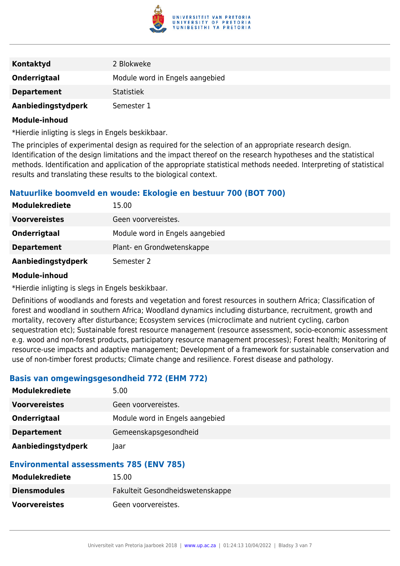

| Kontaktyd          | 2 Blokweke                      |
|--------------------|---------------------------------|
| Onderrigtaal       | Module word in Engels aangebied |
| <b>Departement</b> | <b>Statistiek</b>               |
| Aanbiedingstydperk | Semester 1                      |

#### **Module-inhoud**

\*Hierdie inligting is slegs in Engels beskikbaar.

The principles of experimental design as required for the selection of an appropriate research design. Identification of the design limitations and the impact thereof on the research hypotheses and the statistical methods. Identification and application of the appropriate statistical methods needed. Interpreting of statistical results and translating these results to the biological context.

# **Natuurlike boomveld en woude: Ekologie en bestuur 700 (BOT 700)**

| <b>Modulekrediete</b> | 15.00                           |
|-----------------------|---------------------------------|
| <b>Voorvereistes</b>  | Geen voorvereistes.             |
| Onderrigtaal          | Module word in Engels aangebied |
| <b>Departement</b>    | Plant- en Grondwetenskappe      |
| Aanbiedingstydperk    | Semester 2                      |

#### **Module-inhoud**

\*Hierdie inligting is slegs in Engels beskikbaar.

Definitions of woodlands and forests and vegetation and forest resources in southern Africa; Classification of forest and woodland in southern Africa; Woodland dynamics including disturbance, recruitment, growth and mortality, recovery after disturbance; Ecosystem services (microclimate and nutrient cycling, carbon sequestration etc); Sustainable forest resource management (resource assessment, socio-economic assessment e.g. wood and non-forest products, participatory resource management processes); Forest health; Monitoring of resource-use impacts and adaptive management; Development of a framework for sustainable conservation and use of non-timber forest products; Climate change and resilience. Forest disease and pathology.

#### **Basis van omgewingsgesondheid 772 (EHM 772)**

| <b>Modulekrediete</b> | 5.00                            |
|-----------------------|---------------------------------|
| <b>Voorvereistes</b>  | Geen voorvereistes.             |
| Onderrigtaal          | Module word in Engels aangebied |
| <b>Departement</b>    | Gemeenskapsgesondheid           |
| Aanbiedingstydperk    | Jaar                            |

#### **Environmental assessments 785 (ENV 785)**

| <b>Modulekrediete</b> | 15.00                            |
|-----------------------|----------------------------------|
| <b>Diensmodules</b>   | Fakulteit Gesondheidswetenskappe |
| <b>Voorvereistes</b>  | Geen voorvereistes.              |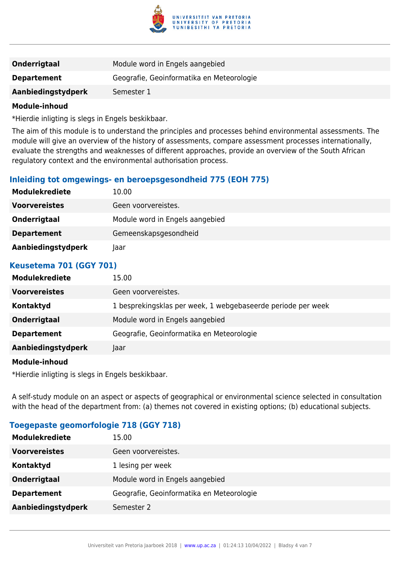

| <b>Onderrigtaal</b> | Module word in Engels aangebied           |
|---------------------|-------------------------------------------|
| <b>Departement</b>  | Geografie, Geoinformatika en Meteorologie |
| Aanbiedingstydperk  | Semester 1                                |
|                     |                                           |

#### **Module-inhoud**

\*Hierdie inligting is slegs in Engels beskikbaar.

The aim of this module is to understand the principles and processes behind environmental assessments. The module will give an overview of the history of assessments, compare assessment processes internationally, evaluate the strengths and weaknesses of different approaches, provide an overview of the South African regulatory context and the environmental authorisation process.

#### **Inleiding tot omgewings- en beroepsgesondheid 775 (EOH 775)**

| <b>Modulekrediete</b> | 10.00                           |
|-----------------------|---------------------------------|
| <b>Voorvereistes</b>  | Geen voorvereistes.             |
| Onderrigtaal          | Module word in Engels aangebied |
| <b>Departement</b>    | Gemeenskapsgesondheid           |
| Aanbiedingstydperk    | laar                            |

#### **Keusetema 701 (GGY 701)**

| <b>Modulekrediete</b> | 15.00                                                        |
|-----------------------|--------------------------------------------------------------|
| <b>Voorvereistes</b>  | Geen voorvereistes.                                          |
| Kontaktyd             | 1 besprekingsklas per week, 1 webgebaseerde periode per week |
| Onderrigtaal          | Module word in Engels aangebied                              |
| <b>Departement</b>    | Geografie, Geoinformatika en Meteorologie                    |
| Aanbiedingstydperk    | Jaar                                                         |
|                       |                                                              |

#### **Module-inhoud**

\*Hierdie inligting is slegs in Engels beskikbaar.

A self-study module on an aspect or aspects of geographical or environmental science selected in consultation with the head of the department from: (a) themes not covered in existing options; (b) educational subjects.

#### **Toegepaste geomorfologie 718 (GGY 718)**

| <b>Modulekrediete</b> | 15.00                                     |
|-----------------------|-------------------------------------------|
| <b>Voorvereistes</b>  | Geen voorvereistes.                       |
| Kontaktyd             | 1 lesing per week                         |
| <b>Onderrigtaal</b>   | Module word in Engels aangebied           |
| <b>Departement</b>    | Geografie, Geoinformatika en Meteorologie |
| Aanbiedingstydperk    | Semester 2                                |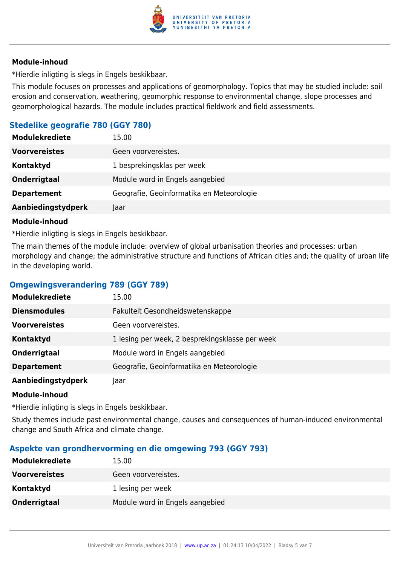

#### **Module-inhoud**

\*Hierdie inligting is slegs in Engels beskikbaar.

This module focuses on processes and applications of geomorphology. Topics that may be studied include: soil erosion and conservation, weathering, geomorphic response to environmental change, slope processes and geomorphological hazards. The module includes practical fieldwork and field assessments.

# **Stedelike geografie 780 (GGY 780)**

| <b>Modulekrediete</b> | 15.00                                     |
|-----------------------|-------------------------------------------|
| <b>Voorvereistes</b>  | Geen voorvereistes.                       |
| Kontaktyd             | 1 besprekingsklas per week                |
| Onderrigtaal          | Module word in Engels aangebied           |
| <b>Departement</b>    | Geografie, Geoinformatika en Meteorologie |
| Aanbiedingstydperk    | Jaar                                      |

#### **Module-inhoud**

\*Hierdie inligting is slegs in Engels beskikbaar.

The main themes of the module include: overview of global urbanisation theories and processes; urban morphology and change; the administrative structure and functions of African cities and; the quality of urban life in the developing world.

### **Omgewingsverandering 789 (GGY 789)**

| <b>Modulekrediete</b> | 15.00                                           |
|-----------------------|-------------------------------------------------|
| <b>Diensmodules</b>   | Fakulteit Gesondheidswetenskappe                |
| <b>Voorvereistes</b>  | Geen voorvereistes.                             |
| <b>Kontaktyd</b>      | 1 lesing per week, 2 besprekingsklasse per week |
| Onderrigtaal          | Module word in Engels aangebied                 |
| <b>Departement</b>    | Geografie, Geoinformatika en Meteorologie       |
| Aanbiedingstydperk    | laar                                            |

#### **Module-inhoud**

\*Hierdie inligting is slegs in Engels beskikbaar.

Study themes include past environmental change, causes and consequences of human-induced environmental change and South Africa and climate change.

#### **Aspekte van grondhervorming en die omgewing 793 (GGY 793)**

| <b>Modulekrediete</b> | 15.00                           |
|-----------------------|---------------------------------|
| <b>Voorvereistes</b>  | Geen voorvereistes.             |
| Kontaktyd             | 1 lesing per week               |
| Onderrigtaal          | Module word in Engels aangebied |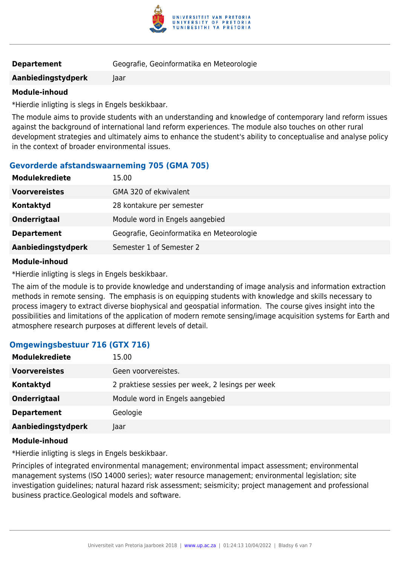

| <b>Departement</b> | Geografie, Geoinformatika en Meteorologie |
|--------------------|-------------------------------------------|
|--------------------|-------------------------------------------|

**Aanbiedingstydperk** Jaar

#### **Module-inhoud**

\*Hierdie inligting is slegs in Engels beskikbaar.

The module aims to provide students with an understanding and knowledge of contemporary land reform issues against the background of international land reform experiences. The module also touches on other rural development strategies and ultimately aims to enhance the student's ability to conceptualise and analyse policy in the context of broader environmental issues.

# **Gevorderde afstandswaarneming 705 (GMA 705)**

| <b>Modulekrediete</b> | 15.00                                     |
|-----------------------|-------------------------------------------|
| <b>Voorvereistes</b>  | GMA 320 of ekwivalent                     |
| Kontaktyd             | 28 kontakure per semester                 |
| Onderrigtaal          | Module word in Engels aangebied           |
| <b>Departement</b>    | Geografie, Geoinformatika en Meteorologie |
| Aanbiedingstydperk    | Semester 1 of Semester 2                  |

#### **Module-inhoud**

\*Hierdie inligting is slegs in Engels beskikbaar.

The aim of the module is to provide knowledge and understanding of image analysis and information extraction methods in remote sensing. The emphasis is on equipping students with knowledge and skills necessary to process imagery to extract diverse biophysical and geospatial information. The course gives insight into the possibilities and limitations of the application of modern remote sensing/image acquisition systems for Earth and atmosphere research purposes at different levels of detail.

# **Omgewingsbestuur 716 (GTX 716)**

| <b>Modulekrediete</b> | 15.00                                            |
|-----------------------|--------------------------------------------------|
| <b>Voorvereistes</b>  | Geen voorvereistes.                              |
| Kontaktyd             | 2 praktiese sessies per week, 2 lesings per week |
| Onderrigtaal          | Module word in Engels aangebied                  |
| <b>Departement</b>    | Geologie                                         |
| Aanbiedingstydperk    | Jaar                                             |
|                       |                                                  |

### **Module-inhoud**

\*Hierdie inligting is slegs in Engels beskikbaar.

Principles of integrated environmental management; environmental impact assessment; environmental management systems (ISO 14000 series); water resource management; environmental legislation; site investigation guidelines; natural hazard risk assessment; seismicity; project management and professional business practice.Geological models and software.